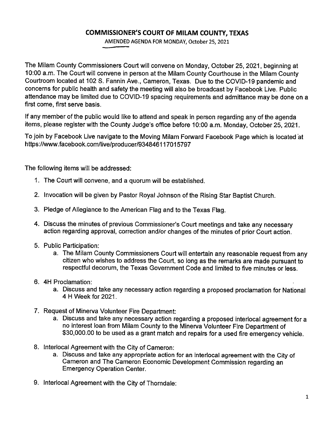## **COMMISSIONER'S COURT OF MILAM COUNTY, TEXAS**

AMENDED AGENDA FOR MONDAY, October 25, 2021

The Milam County Commissioners Court will convene on Monday, October 25, 2021, beginning at 10:00 a.m. The Court will convene in person at the Milam County Courthouse in the Milam County Courtroom located at 102 S. Fannin Ave., Cameron, Texas. Due to the COVID-19 pandemic and concerns for public health and safety the meeting will also be broadcast by Facebook Live. Public attendance may be limited due to COVID-19 spacing requirements and admittance may be done on a first come, first serve basis.

If any member of the public would like to attend and speak in person regarding any of the agenda items, please register with the County Judge's office before 10:00 a.m. Monday, October 25, 2021.

To join by Facebook Live navigate to the Moving Milam Forward Facebook Page which is located at https://www.facebook.com/live/producer/934846117015797

The following items will be addressed:

- 1. The Court will convene, and a quorum will be established.
- 2. Invocation will be given by Pastor Royal Johnson of the Rising Star Baptist Church.
- 3. Pledge of Allegiance to the American Flag and to the Texas Flag.
- 4. Discuss the minutes of previous Commissioner's Court meetings and take any necessary action regarding approval, correction and/or changes of the minutes of prior Court action.
- 5. Public Participation:
	- a. The Milam County Commissioners Court will entertain any reasonable request from any citizen who wishes to address the Court, so long as the remarks are made pursuant to respectful decorum, the Texas Government Code and limited to five minutes or less.
- 6. 4H Proclamation:
	- a. Discuss and take any necessary action regarding a proposed proclamation for National 4 H Week for 2021.
- 7. Request of Minerva Volunteer Fire Department:
	- a. Discuss and take any necessary action regarding a proposed interlocal agreement for a no interest loan from Milam County to the Minerva Volunteer Fire Department of \$30,000.00 to be used as a grant match and repairs for a used fire emergency vehicle.
- 8. Interlocal Agreement with the City of Cameron:
	- a. Discuss and take any appropriate action for an interlocal agreement with the City of Cameron and The Cameron Economic Development Commission regarding an Emergency Operation Center.
- 9. lnterlocal Agreement with the City of Thorndale: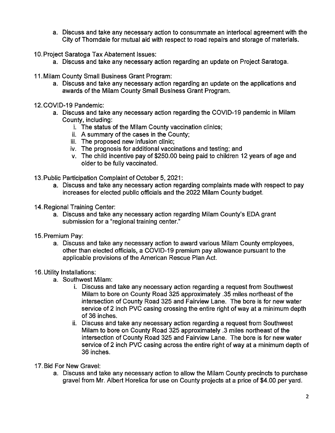- a. Discuss and take any necessary action to consummate an interlocal agreement with the City of Thorndale for mutual aid with respect to road repairs and storage of materials.
- 10. Project Saratoga Tax Abatement Issues:
	- a. Discuss and take any necessary action regarding an update on Project Saratoga.
- 11. Milam County Small Business Grant Program:
	- a. Discuss and take any necessary action regarding an update on the applications and awards of the Milam County Small Business Grant Program.
- 12. COVID-19 Pandemic:
	- a. Discuss and take any necessary action regarding the COVID-19 pandemic in Milam County, including:
		- i. The status of the Milam County vaccination clinics;
		- ii. A summary of the cases in the County;
		- iii. The proposed new infusion clinic;
		- iv. The prognosis for additional vaccinations and testing; and
		- v. The child incentive pay of \$250.00 being paid to children 12 years of age and older to be fully vaccinated.

13. Public Participation Complaint of October 5, 2021:

- a. Discuss and take any necessary action regarding complaints made with respect to pay increases for elected public officials and the 2022 Milam County budget.
- 14. Regional Training Center:
	- a. Discuss and take any necessary action regarding Milam County's EDA grant submission for a "regional training center."
- 15. Premium Pay:
	- a. Discuss and take any necessary action to award various Milam County employees, other than elected officials, a COVID-19 premium pay allowance pursuant to the applicable provisions of the American Rescue Plan Act.

## 16. Utility Installations:

- a. Southwest Milam:
	- i. Discuss and take any necessary action regarding a request from Southwest Milam to bore on County Road 325 approximately .35 miles northeast of the intersection of County Road 325 and Fairview Lane. The bore is for new water service of 2 inch PVC casing crossing the entire right of way at a minimum depth of 36 inches.
	- ii. Discuss and take any necessary action regarding a request from Southwest Milam to bore on County Road 325 approximately .3 miles northeast of the intersection of County Road 325 and Fairview Lane. The bore is for new water service of 2 inch PVC casing across the entire right of way at a minimum depth of 36 inches.

## 17. Bid For New Gravel:

a. Discuss and take any necessary action to allow the Milam County precincts to purchase gravel from Mr. Albert Horelica for use on County projects at a price of \$4.00 per yard.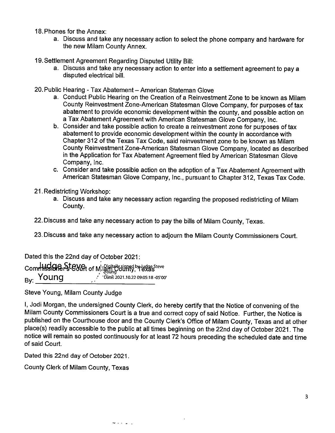18. Phones for the Annex:

- a. Discuss and take any necessary action to select the phone company and hardware for the new Milam County Annex.
- 19. Settlement Agreement Regarding Disputed Utility Bill:
	- a. Discuss and take any necessary action to enter into a settlement agreement to pay a disputed electrical bill.
- 20. Public Hearing Tax Abatement American Stateman Glove
	- a. Conduct Public Hearing on the Creation of a Reinvestment Zone to be known as Milam County Reinvestment Zone-American Statesman Glove Company, for purposes of tax abatement to provide economic development within the county, and possible action on a Tax Abatement Agreement with American Statesman Glove Company, Inc.
	- b. Consider and take possible action to create a reinvestment zone for purposes of tax abatement to provide economic development within the county in accordance with Chapter 312 of the Texas Tax Code, said reinvestment zone to be known as Milam County Reinvestment Zone-American Statesman Glove Company, located as described in the Application for Tax Abatement Agreement filed by American Statesman Glove Company, Inc.
	- c. Consider and take possible action on the adoption of a Tax Abatement Agreement with American Statesman Glove Company, Inc., pursuant to Chapter 312, Texas Tax Code.
- 21 . Redistricting Workshop:
	- a. Discuss and take any necessary action regarding the proposed redistricting of Milam County.

22. Discuss and take any necessary action to pay the bills of Milam County, Texas.

23. Discuss and take any necessary action to adjourn the Milam County Commissioners Court.

Dated this the 22nd day of October 2021:

Commission of Milgon younty, Texas  $\mathsf{B}\mathsf{v}$ : Young  $\mathsf{b}$   $\mathsf{b}$   $\mathsf{b}$   $\mathsf{b}$   $\mathsf{b}$   $\mathsf{b}$   $\mathsf{b}$   $\mathsf{b}$   $\mathsf{b}$   $\mathsf{b}$   $\mathsf{b}$   $\mathsf{b}$   $\mathsf{c}$   $\mathsf{b}$   $\mathsf{b}$   $\mathsf{c}$   $\mathsf{b}$   $\mathsf{c}$   $\mathsf{b}$   $\mathsf{c}$   $\mathsf{b}$   $\mathsf{c}$   $\$ 

ervice ...

Steve Young, Milam County Judge

I, Jodi Morgan, the undersigned County Clerk, do hereby certify that the Notice of convening of the Milam County Commissioners Court is a true and correct copy of said Notice. Further, the Notice is published on the Courthouse door and the County Clerk's Office of Milam County, Texas and at other place(s) readily accessible to the public at all times beginning on the 22nd day of October 2021. The notice will remain so posted continuously for at least 72 hours preceding the scheduled date and time of said Court.

Dated this 22nd day of October 2021.

County Clerk of Milam County, Texas